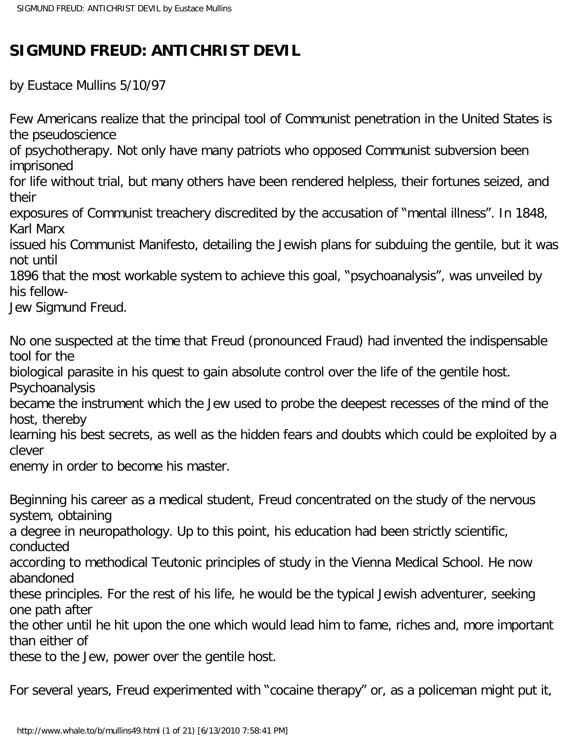## **SIGMUND FREUD: ANTICHRIST DEVIL**

by Eustace Mullins 5/10/97

Few Americans realize that the principal tool of Communist penetration in the United States is the pseudoscience

of psychotherapy. Not only have many patriots who opposed Communist subversion been imprisoned

for life without trial, but many others have been rendered helpless, their fortunes seized, and their

exposures of Communist treachery discredited by the accusation of "mental illness". In 1848, Karl Marx

issued his Communist Manifesto, detailing the Jewish plans for subduing the gentile, but it was not until

1896 that the most workable system to achieve this goal, "psychoanalysis", was unveiled by his fellow-

Jew Sigmund Freud.

No one suspected at the time that Freud (pronounced Fraud) had invented the indispensable tool for the

biological parasite in his quest to gain absolute control over the life of the gentile host.

Psychoanalysis

became the instrument which the Jew used to probe the deepest recesses of the mind of the host, thereby

learning his best secrets, as well as the hidden fears and doubts which could be exploited by a clever

enemy in order to become his master.

Beginning his career as a medical student, Freud concentrated on the study of the nervous system, obtaining

a degree in neuropathology. Up to this point, his education had been strictly scientific, conducted

according to methodical Teutonic principles of study in the Vienna Medical School. He now abandoned

these principles. For the rest of his life, he would be the typical Jewish adventurer, seeking one path after

the other until he hit upon the one which would lead him to fame, riches and, more important than either of

these to the Jew, power over the gentile host.

For several years, Freud experimented with "cocaine therapy" or, as a policeman might put it,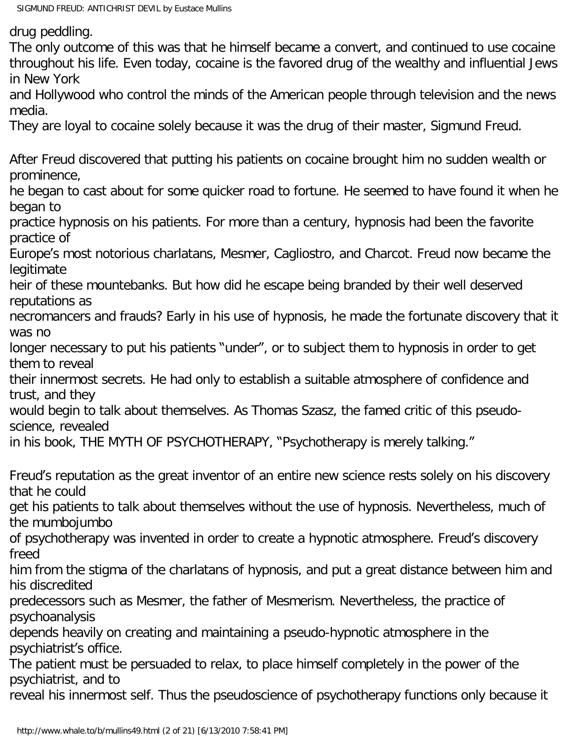drug peddling.

The only outcome of this was that he himself became a convert, and continued to use cocaine throughout his life. Even today, cocaine is the favored drug of the wealthy and influential Jews in New York

and Hollywood who control the minds of the American people through television and the news media.

They are loyal to cocaine solely because it was the drug of their master, Sigmund Freud.

After Freud discovered that putting his patients on cocaine brought him no sudden wealth or prominence,

he began to cast about for some quicker road to fortune. He seemed to have found it when he began to

practice hypnosis on his patients. For more than a century, hypnosis had been the favorite practice of

Europe's most notorious charlatans, Mesmer, Cagliostro, and Charcot. Freud now became the legitimate

heir of these mountebanks. But how did he escape being branded by their well deserved reputations as

necromancers and frauds? Early in his use of hypnosis, he made the fortunate discovery that it was no

longer necessary to put his patients "under", or to subject them to hypnosis in order to get them to reveal

their innermost secrets. He had only to establish a suitable atmosphere of confidence and trust, and they

would begin to talk about themselves. As Thomas Szasz, the famed critic of this pseudoscience, revealed

in his book, THE MYTH OF PSYCHOTHERAPY, "Psychotherapy is merely talking."

Freud's reputation as the great inventor of an entire new science rests solely on his discovery that he could

get his patients to talk about themselves without the use of hypnosis. Nevertheless, much of the mumbojumbo

of psychotherapy was invented in order to create a hypnotic atmosphere. Freud's discovery freed

him from the stigma of the charlatans of hypnosis, and put a great distance between him and his discredited

predecessors such as Mesmer, the father of Mesmerism. Nevertheless, the practice of psychoanalysis

depends heavily on creating and maintaining a pseudo-hypnotic atmosphere in the psychiatrist's office.

The patient must be persuaded to relax, to place himself completely in the power of the psychiatrist, and to

reveal his innermost self. Thus the pseudoscience of psychotherapy functions only because it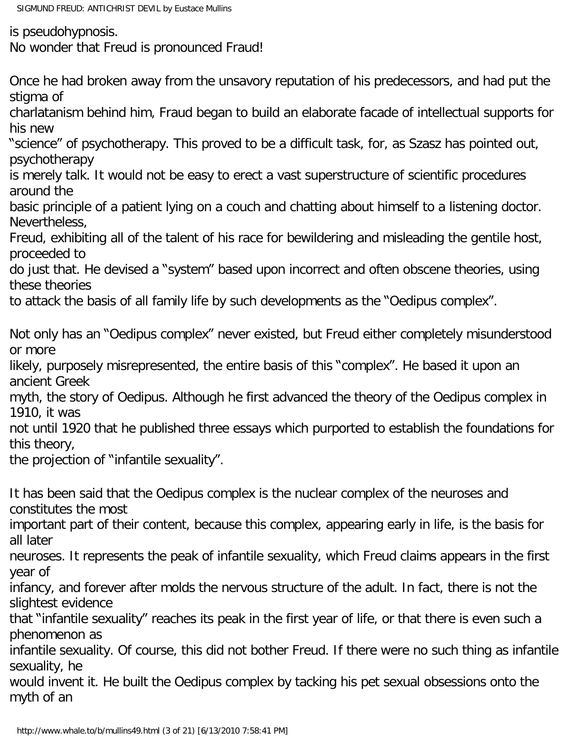is pseudohypnosis. No wonder that Freud is pronounced Fraud!

Once he had broken away from the unsavory reputation of his predecessors, and had put the stigma of

charlatanism behind him, Fraud began to build an elaborate facade of intellectual supports for his new

"science" of psychotherapy. This proved to be a difficult task, for, as Szasz has pointed out, psychotherapy

is merely talk. It would not be easy to erect a vast superstructure of scientific procedures around the

basic principle of a patient lying on a couch and chatting about himself to a listening doctor. Nevertheless,

Freud, exhibiting all of the talent of his race for bewildering and misleading the gentile host, proceeded to

do just that. He devised a "system" based upon incorrect and often obscene theories, using these theories

to attack the basis of all family life by such developments as the "Oedipus complex".

Not only has an "Oedipus complex" never existed, but Freud either completely misunderstood or more

likely, purposely misrepresented, the entire basis of this "complex". He based it upon an ancient Greek

myth, the story of Oedipus. Although he first advanced the theory of the Oedipus complex in 1910, it was

not until 1920 that he published three essays which purported to establish the foundations for this theory,

the projection of "infantile sexuality".

It has been said that the Oedipus complex is the nuclear complex of the neuroses and constitutes the most

important part of their content, because this complex, appearing early in life, is the basis for all later

neuroses. It represents the peak of infantile sexuality, which Freud claims appears in the first year of

infancy, and forever after molds the nervous structure of the adult. In fact, there is not the slightest evidence

that "infantile sexuality" reaches its peak in the first year of life, or that there is even such a phenomenon as

infantile sexuality. Of course, this did not bother Freud. If there were no such thing as infantile sexuality, he

would invent it. He built the Oedipus complex by tacking his pet sexual obsessions onto the myth of an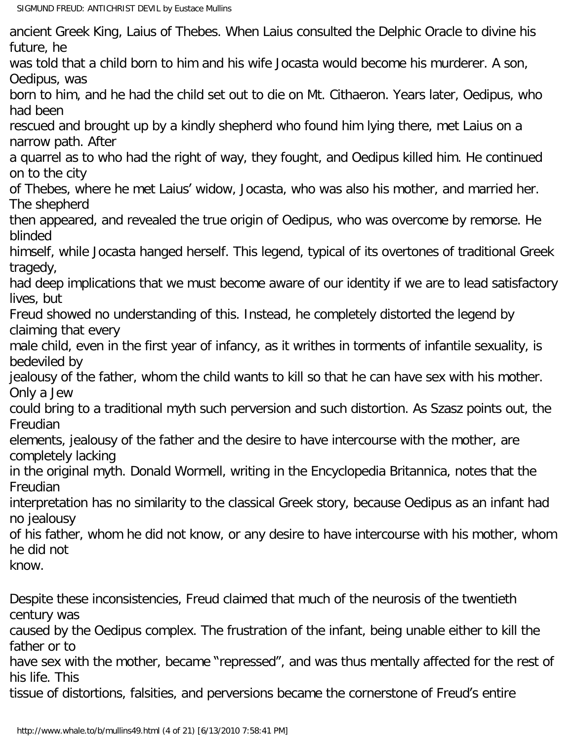ancient Greek King, Laius of Thebes. When Laius consulted the Delphic Oracle to divine his future, he

was told that a child born to him and his wife Jocasta would become his murderer. A son, Oedipus, was

born to him, and he had the child set out to die on Mt. Cithaeron. Years later, Oedipus, who had been

rescued and brought up by a kindly shepherd who found him lying there, met Laius on a narrow path. After

a quarrel as to who had the right of way, they fought, and Oedipus killed him. He continued on to the city

of Thebes, where he met Laius' widow, Jocasta, who was also his mother, and married her. The shepherd

then appeared, and revealed the true origin of Oedipus, who was overcome by remorse. He blinded

himself, while Jocasta hanged herself. This legend, typical of its overtones of traditional Greek tragedy,

had deep implications that we must become aware of our identity if we are to lead satisfactory lives, but

Freud showed no understanding of this. Instead, he completely distorted the legend by claiming that every

male child, even in the first year of infancy, as it writhes in torments of infantile sexuality, is bedeviled by

jealousy of the father, whom the child wants to kill so that he can have sex with his mother. Only a Jew

could bring to a traditional myth such perversion and such distortion. As Szasz points out, the Freudian

elements, jealousy of the father and the desire to have intercourse with the mother, are completely lacking

in the original myth. Donald Wormell, writing in the Encyclopedia Britannica, notes that the Freudian

interpretation has no similarity to the classical Greek story, because Oedipus as an infant had no jealousy

of his father, whom he did not know, or any desire to have intercourse with his mother, whom he did not

know.

Despite these inconsistencies, Freud claimed that much of the neurosis of the twentieth century was

caused by the Oedipus complex. The frustration of the infant, being unable either to kill the father or to

have sex with the mother, became "repressed", and was thus mentally affected for the rest of his life. This

tissue of distortions, falsities, and perversions became the cornerstone of Freud's entire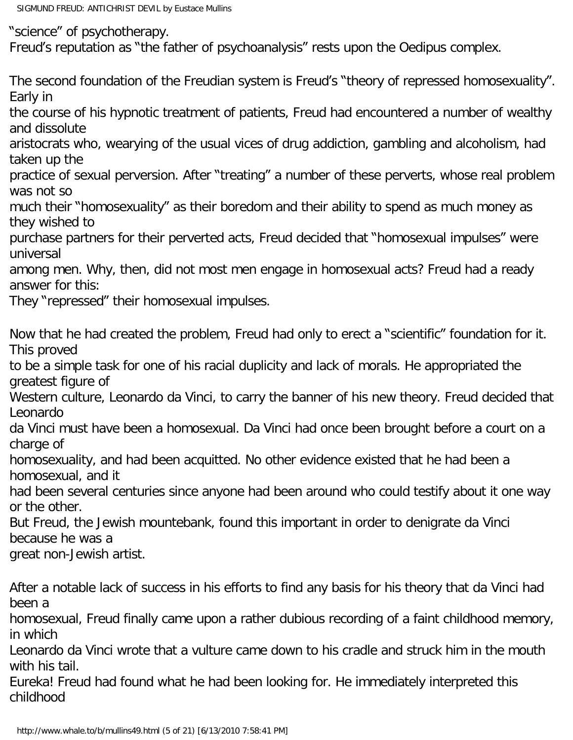"science" of psychotherapy.

Freud's reputation as "the father of psychoanalysis" rests upon the Oedipus complex.

The second foundation of the Freudian system is Freud's "theory of repressed homosexuality". Early in

the course of his hypnotic treatment of patients, Freud had encountered a number of wealthy and dissolute

aristocrats who, wearying of the usual vices of drug addiction, gambling and alcoholism, had taken up the

practice of sexual perversion. After "treating" a number of these perverts, whose real problem was not so

much their "homosexuality" as their boredom and their ability to spend as much money as they wished to

purchase partners for their perverted acts, Freud decided that "homosexual impulses" were universal

among men. Why, then, did not most men engage in homosexual acts? Freud had a ready answer for this:

They "repressed" their homosexual impulses.

Now that he had created the problem, Freud had only to erect a "scientific" foundation for it. This proved

to be a simple task for one of his racial duplicity and lack of morals. He appropriated the greatest figure of

Western culture, Leonardo da Vinci, to carry the banner of his new theory. Freud decided that Leonardo

da Vinci must have been a homosexual. Da Vinci had once been brought before a court on a charge of

homosexuality, and had been acquitted. No other evidence existed that he had been a homosexual, and it

had been several centuries since anyone had been around who could testify about it one way or the other.

But Freud, the Jewish mountebank, found this important in order to denigrate da Vinci because he was a

great non-Jewish artist.

After a notable lack of success in his efforts to find any basis for his theory that da Vinci had been a

homosexual, Freud finally came upon a rather dubious recording of a faint childhood memory, in which

Leonardo da Vinci wrote that a vulture came down to his cradle and struck him in the mouth with his tail.

Eureka! Freud had found what he had been looking for. He immediately interpreted this childhood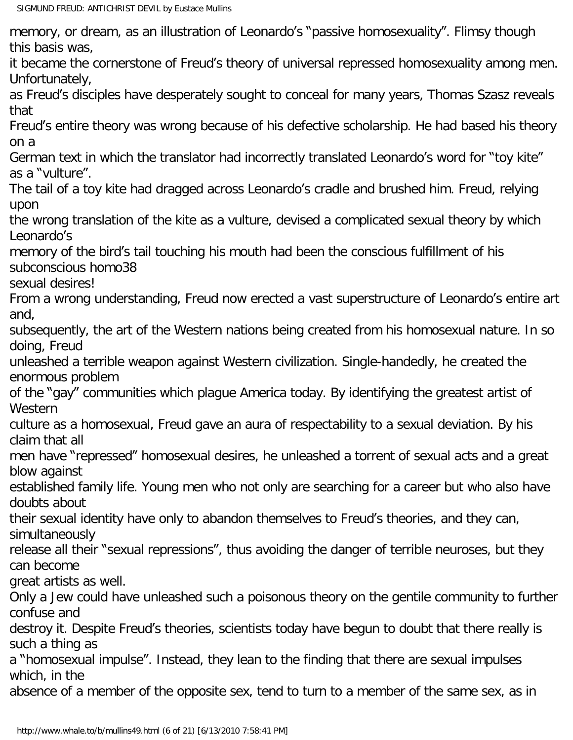memory, or dream, as an illustration of Leonardo's "passive homosexuality". Flimsy though this basis was,

it became the cornerstone of Freud's theory of universal repressed homosexuality among men. Unfortunately,

as Freud's disciples have desperately sought to conceal for many years, Thomas Szasz reveals that

Freud's entire theory was wrong because of his defective scholarship. He had based his theory on a

German text in which the translator had incorrectly translated Leonardo's word for "toy kite" as a "vulture".

The tail of a toy kite had dragged across Leonardo's cradle and brushed him. Freud, relying upon

the wrong translation of the kite as a vulture, devised a complicated sexual theory by which Leonardo's

memory of the bird's tail touching his mouth had been the conscious fulfillment of his subconscious homo38

sexual desires!

From a wrong understanding, Freud now erected a vast superstructure of Leonardo's entire art and,

subsequently, the art of the Western nations being created from his homosexual nature. In so doing, Freud

unleashed a terrible weapon against Western civilization. Single-handedly, he created the enormous problem

of the "gay" communities which plague America today. By identifying the greatest artist of Western

culture as a homosexual, Freud gave an aura of respectability to a sexual deviation. By his claim that all

men have "repressed" homosexual desires, he unleashed a torrent of sexual acts and a great blow against

established family life. Young men who not only are searching for a career but who also have doubts about

their sexual identity have only to abandon themselves to Freud's theories, and they can, simultaneously

release all their "sexual repressions", thus avoiding the danger of terrible neuroses, but they can become

great artists as well.

Only a Jew could have unleashed such a poisonous theory on the gentile community to further confuse and

destroy it. Despite Freud's theories, scientists today have begun to doubt that there really is such a thing as

a "homosexual impulse". Instead, they lean to the finding that there are sexual impulses which, in the

absence of a member of the opposite sex, tend to turn to a member of the same sex, as in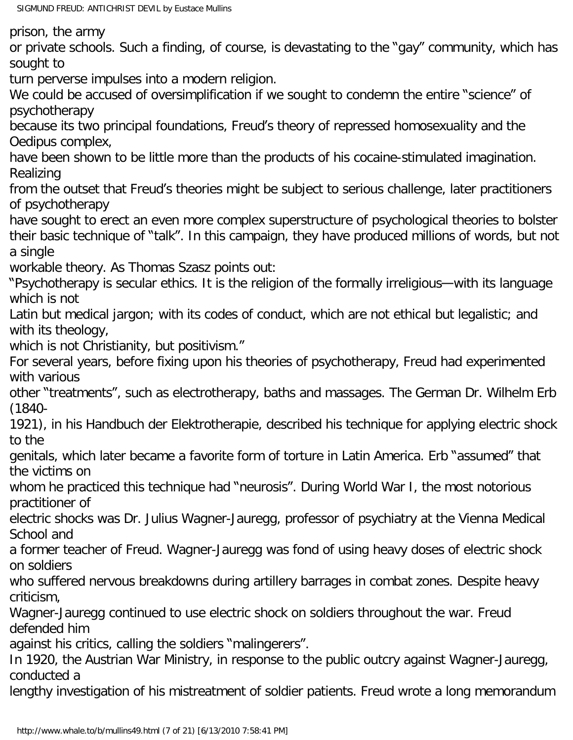prison, the army

or private schools. Such a finding, of course, is devastating to the "gay" community, which has sought to

turn perverse impulses into a modern religion.

We could be accused of oversimplification if we sought to condemn the entire "science" of psychotherapy

because its two principal foundations, Freud's theory of repressed homosexuality and the Oedipus complex,

have been shown to be little more than the products of his cocaine-stimulated imagination. Realizing

from the outset that Freud's theories might be subject to serious challenge, later practitioners of psychotherapy

have sought to erect an even more complex superstructure of psychological theories to bolster their basic technique of "talk". In this campaign, they have produced millions of words, but not a single

workable theory. As Thomas Szasz points out:

"Psychotherapy is secular ethics. It is the religion of the formally irreligious—with its language which is not

Latin but medical jargon; with its codes of conduct, which are not ethical but legalistic; and with its theology,

which is not Christianity, but positivism."

For several years, before fixing upon his theories of psychotherapy, Freud had experimented with various

other "treatments", such as electrotherapy, baths and massages. The German Dr. Wilhelm Erb (1840-

1921), in his Handbuch der Elektrotherapie, described his technique for applying electric shock to the

genitals, which later became a favorite form of torture in Latin America. Erb "assumed" that the victims on

whom he practiced this technique had "neurosis". During World War I, the most notorious practitioner of

electric shocks was Dr. Julius Wagner-Jauregg, professor of psychiatry at the Vienna Medical School and

a former teacher of Freud. Wagner-Jauregg was fond of using heavy doses of electric shock on soldiers

who suffered nervous breakdowns during artillery barrages in combat zones. Despite heavy criticism,

Wagner-Jauregg continued to use electric shock on soldiers throughout the war. Freud defended him

against his critics, calling the soldiers "malingerers".

In 1920, the Austrian War Ministry, in response to the public outcry against Wagner-Jauregg, conducted a

lengthy investigation of his mistreatment of soldier patients. Freud wrote a long memorandum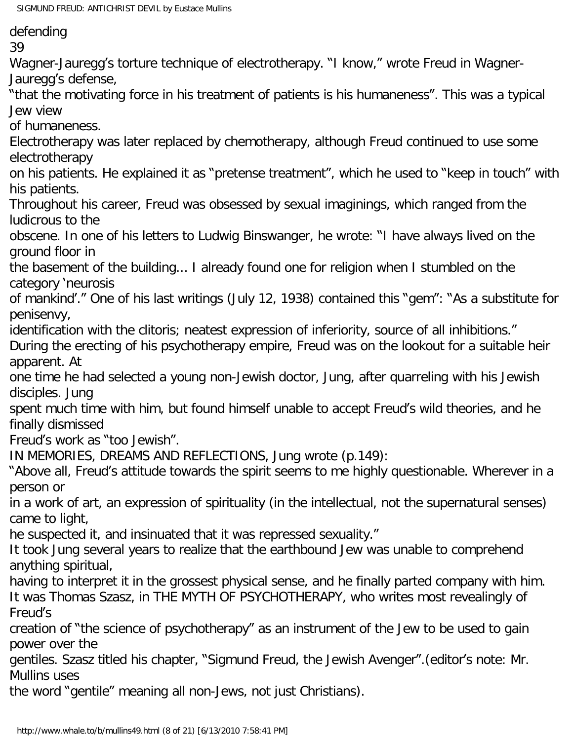defending

39

Wagner-Jauregg's torture technique of electrotherapy. "I know," wrote Freud in Wagner-Jauregg's defense,

"that the motivating force in his treatment of patients is his humaneness". This was a typical Jew view

of humaneness.

Electrotherapy was later replaced by chemotherapy, although Freud continued to use some electrotherapy

on his patients. He explained it as "pretense treatment", which he used to "keep in touch" with his patients.

Throughout his career, Freud was obsessed by sexual imaginings, which ranged from the ludicrous to the

obscene. In one of his letters to Ludwig Binswanger, he wrote: "I have always lived on the ground floor in

the basement of the building... I already found one for religion when I stumbled on the category 'neurosis

of mankind'." One of his last writings (July 12, 1938) contained this "gem": "As a substitute for penisenvy,

identification with the clitoris; neatest expression of inferiority, source of all inhibitions."

During the erecting of his psychotherapy empire, Freud was on the lookout for a suitable heir apparent. At

one time he had selected a young non-Jewish doctor, Jung, after quarreling with his Jewish disciples. Jung

spent much time with him, but found himself unable to accept Freud's wild theories, and he finally dismissed

Freud's work as "too Jewish".

IN MEMORIES, DREAMS AND REFLECTIONS, Jung wrote (p.149):

"Above all, Freud's attitude towards the spirit seems to me highly questionable. Wherever in a person or

in a work of art, an expression of spirituality (in the intellectual, not the supernatural senses) came to light,

he suspected it, and insinuated that it was repressed sexuality."

It took Jung several years to realize that the earthbound Jew was unable to comprehend anything spiritual,

having to interpret it in the grossest physical sense, and he finally parted company with him. It was Thomas Szasz, in THE MYTH OF PSYCHOTHERAPY, who writes most revealingly of Freud's

creation of "the science of psychotherapy" as an instrument of the Jew to be used to gain power over the

gentiles. Szasz titled his chapter, "Sigmund Freud, the Jewish Avenger".(editor's note: Mr. Mullins uses

the word "gentile" meaning all non-Jews, not just Christians).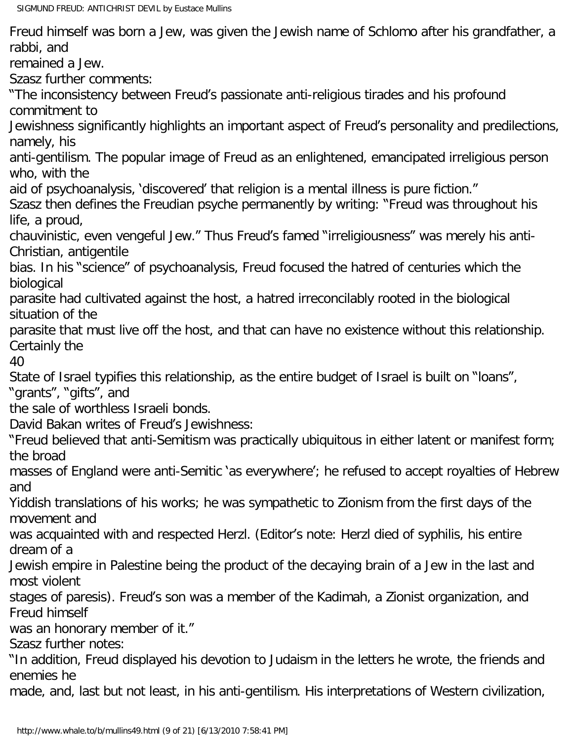SIGMUND FREUD: ANTICHRIST DEVIL by Eustace Mullins

Freud himself was born a Jew, was given the Jewish name of Schlomo after his grandfather, a rabbi, and

remained a Jew.

Szasz further comments:

"The inconsistency between Freud's passionate anti-religious tirades and his profound commitment to

Jewishness significantly highlights an important aspect of Freud's personality and predilections, namely, his

anti-gentilism. The popular image of Freud as an enlightened, emancipated irreligious person who, with the

aid of psychoanalysis, 'discovered' that religion is a mental illness is pure fiction."

Szasz then defines the Freudian psyche permanently by writing: "Freud was throughout his life, a proud,

chauvinistic, even vengeful Jew." Thus Freud's famed "irreligiousness" was merely his anti-Christian, antigentile

bias. In his "science" of psychoanalysis, Freud focused the hatred of centuries which the biological

parasite had cultivated against the host, a hatred irreconcilably rooted in the biological situation of the

parasite that must live off the host, and that can have no existence without this relationship. Certainly the

40

State of Israel typifies this relationship, as the entire budget of Israel is built on "loans",

"grants", "gifts", and

the sale of worthless Israeli bonds.

David Bakan writes of Freud's Jewishness:

"Freud believed that anti-Semitism was practically ubiquitous in either latent or manifest form; the broad

masses of England were anti-Semitic 'as everywhere'; he refused to accept royalties of Hebrew and

Yiddish translations of his works; he was sympathetic to Zionism from the first days of the movement and

was acquainted with and respected Herzl. (Editor's note: Herzl died of syphilis, his entire dream of a

Jewish empire in Palestine being the product of the decaying brain of a Jew in the last and most violent

stages of paresis). Freud's son was a member of the Kadimah, a Zionist organization, and Freud himself

was an honorary member of it."

Szasz further notes:

"In addition, Freud displayed his devotion to Judaism in the letters he wrote, the friends and enemies he

made, and, last but not least, in his anti-gentilism. His interpretations of Western civilization,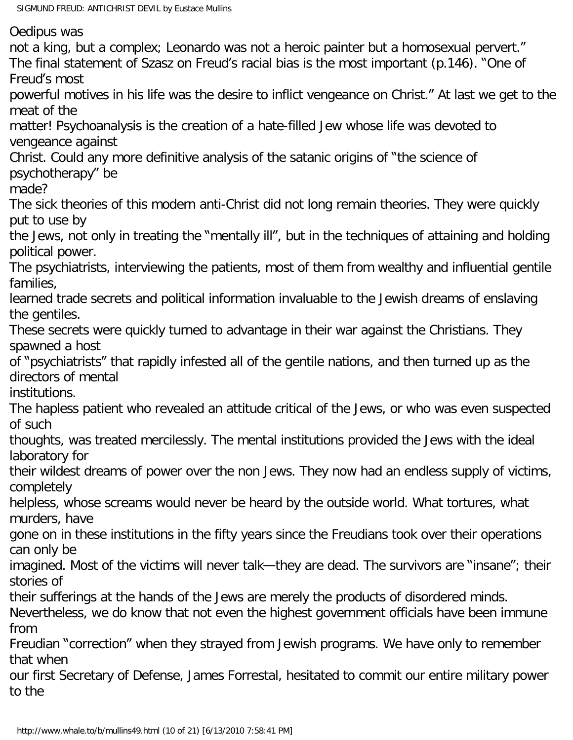Oedipus was

not a king, but a complex; Leonardo was not a heroic painter but a homosexual pervert." The final statement of Szasz on Freud's racial bias is the most important (p.146). "One of Freud's most

powerful motives in his life was the desire to inflict vengeance on Christ." At last we get to the meat of the

matter! Psychoanalysis is the creation of a hate-filled Jew whose life was devoted to vengeance against

Christ. Could any more definitive analysis of the satanic origins of "the science of psychotherapy" be

made?

The sick theories of this modern anti-Christ did not long remain theories. They were quickly put to use by

the Jews, not only in treating the "mentally ill", but in the techniques of attaining and holding political power.

The psychiatrists, interviewing the patients, most of them from wealthy and influential gentile families,

learned trade secrets and political information invaluable to the Jewish dreams of enslaving the gentiles.

These secrets were quickly turned to advantage in their war against the Christians. They spawned a host

of "psychiatrists" that rapidly infested all of the gentile nations, and then turned up as the directors of mental

institutions.

The hapless patient who revealed an attitude critical of the Jews, or who was even suspected of such

thoughts, was treated mercilessly. The mental institutions provided the Jews with the ideal laboratory for

their wildest dreams of power over the non Jews. They now had an endless supply of victims, completely

helpless, whose screams would never be heard by the outside world. What tortures, what murders, have

gone on in these institutions in the fifty years since the Freudians took over their operations can only be

imagined. Most of the victims will never talk—they are dead. The survivors are "insane"; their stories of

their sufferings at the hands of the Jews are merely the products of disordered minds.

Nevertheless, we do know that not even the highest government officials have been immune from

Freudian "correction" when they strayed from Jewish programs. We have only to remember that when

our first Secretary of Defense, James Forrestal, hesitated to commit our entire military power to the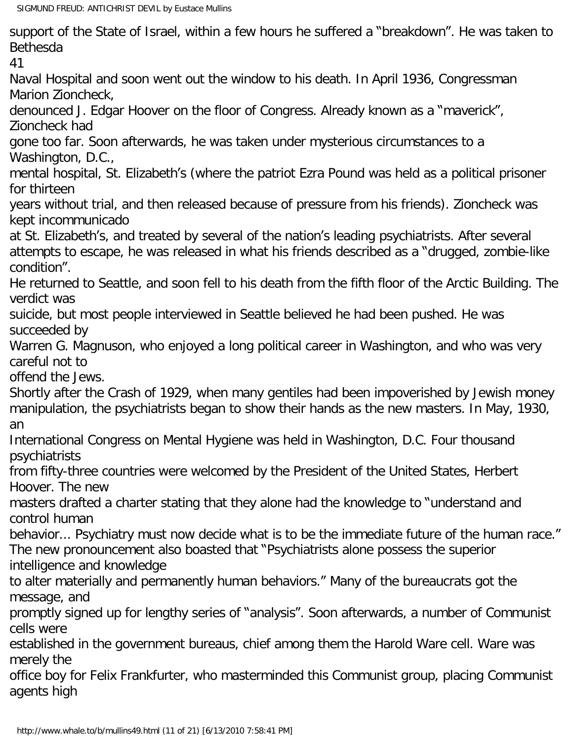support of the State of Israel, within a few hours he suffered a "breakdown". He was taken to Bethesda

41

Naval Hospital and soon went out the window to his death. In April 1936, Congressman Marion Zioncheck,

denounced J. Edgar Hoover on the floor of Congress. Already known as a "maverick", Zioncheck had

gone too far. Soon afterwards, he was taken under mysterious circumstances to a Washington, D.C.,

mental hospital, St. Elizabeth's (where the patriot Ezra Pound was held as a political prisoner for thirteen

years without trial, and then released because of pressure from his friends). Zioncheck was kept incommunicado

at St. Elizabeth's, and treated by several of the nation's leading psychiatrists. After several attempts to escape, he was released in what his friends described as a "drugged, zombie-like condition".

He returned to Seattle, and soon fell to his death from the fifth floor of the Arctic Building. The verdict was

suicide, but most people interviewed in Seattle believed he had been pushed. He was succeeded by

Warren G. Magnuson, who enjoyed a long political career in Washington, and who was very careful not to

offend the Jews.

Shortly after the Crash of 1929, when many gentiles had been impoverished by Jewish money manipulation, the psychiatrists began to show their hands as the new masters. In May, 1930, an

International Congress on Mental Hygiene was held in Washington, D.C. Four thousand psychiatrists

from fifty-three countries were welcomed by the President of the United States, Herbert Hoover. The new

masters drafted a charter stating that they alone had the knowledge to "understand and control human

behavior... Psychiatry must now decide what is to be the immediate future of the human race." The new pronouncement also boasted that "Psychiatrists alone possess the superior intelligence and knowledge

to alter materially and permanently human behaviors." Many of the bureaucrats got the message, and

promptly signed up for lengthy series of "analysis". Soon afterwards, a number of Communist cells were

established in the government bureaus, chief among them the Harold Ware cell. Ware was merely the

office boy for Felix Frankfurter, who masterminded this Communist group, placing Communist agents high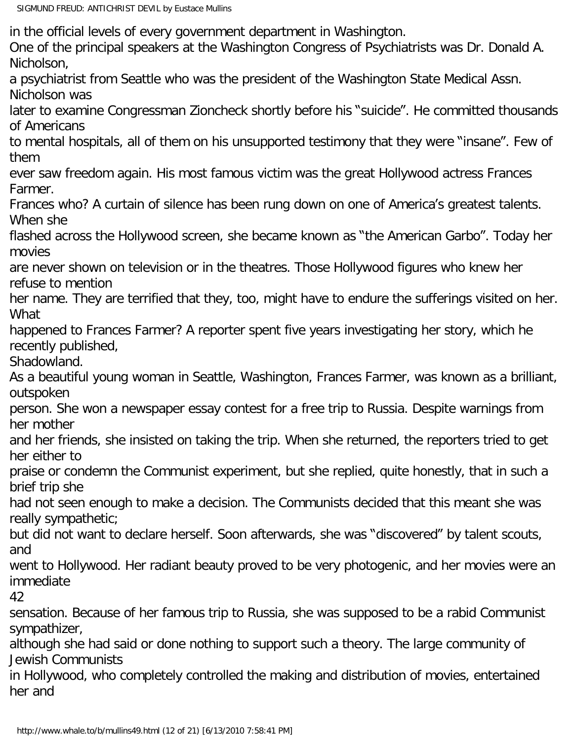in the official levels of every government department in Washington.

One of the principal speakers at the Washington Congress of Psychiatrists was Dr. Donald A. Nicholson,

a psychiatrist from Seattle who was the president of the Washington State Medical Assn. Nicholson was

later to examine Congressman Zioncheck shortly before his "suicide". He committed thousands of Americans

to mental hospitals, all of them on his unsupported testimony that they were "insane". Few of them

ever saw freedom again. His most famous victim was the great Hollywood actress Frances Farmer.

Frances who? A curtain of silence has been rung down on one of America's greatest talents. When she

flashed across the Hollywood screen, she became known as "the American Garbo". Today her movies

are never shown on television or in the theatres. Those Hollywood figures who knew her refuse to mention

her name. They are terrified that they, too, might have to endure the sufferings visited on her. **What** 

happened to Frances Farmer? A reporter spent five years investigating her story, which he recently published,

Shadowland.

As a beautiful young woman in Seattle, Washington, Frances Farmer, was known as a brilliant, outspoken

person. She won a newspaper essay contest for a free trip to Russia. Despite warnings from her mother

and her friends, she insisted on taking the trip. When she returned, the reporters tried to get her either to

praise or condemn the Communist experiment, but she replied, quite honestly, that in such a brief trip she

had not seen enough to make a decision. The Communists decided that this meant she was really sympathetic;

but did not want to declare herself. Soon afterwards, she was "discovered" by talent scouts, and

went to Hollywood. Her radiant beauty proved to be very photogenic, and her movies were an immediate

42

sensation. Because of her famous trip to Russia, she was supposed to be a rabid Communist sympathizer,

although she had said or done nothing to support such a theory. The large community of Jewish Communists

in Hollywood, who completely controlled the making and distribution of movies, entertained her and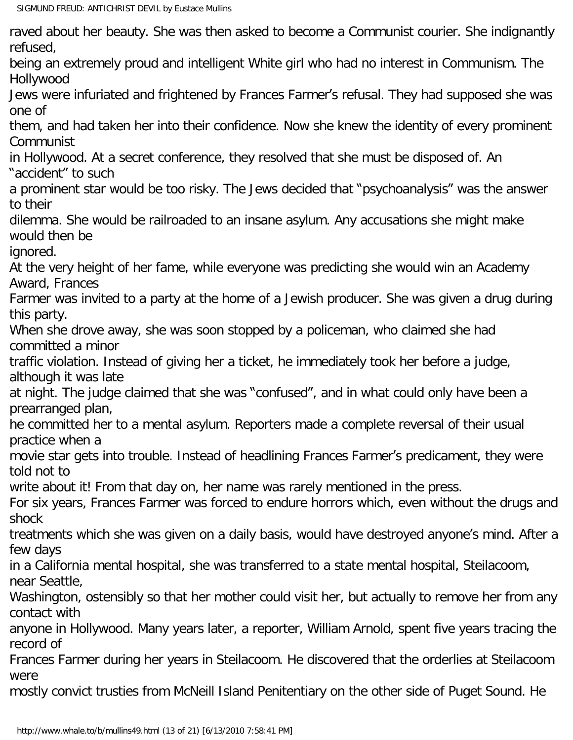raved about her beauty. She was then asked to become a Communist courier. She indignantly refused,

being an extremely proud and intelligent White girl who had no interest in Communism. The Hollywood

Jews were infuriated and frightened by Frances Farmer's refusal. They had supposed she was one of

them, and had taken her into their confidence. Now she knew the identity of every prominent Communist

in Hollywood. At a secret conference, they resolved that she must be disposed of. An "accident" to such

a prominent star would be too risky. The Jews decided that "psychoanalysis" was the answer to their

dilemma. She would be railroaded to an insane asylum. Any accusations she might make would then be

ignored.

At the very height of her fame, while everyone was predicting she would win an Academy Award, Frances

Farmer was invited to a party at the home of a Jewish producer. She was given a drug during this party.

When she drove away, she was soon stopped by a policeman, who claimed she had committed a minor

traffic violation. Instead of giving her a ticket, he immediately took her before a judge, although it was late

at night. The judge claimed that she was "confused", and in what could only have been a prearranged plan,

he committed her to a mental asylum. Reporters made a complete reversal of their usual practice when a

movie star gets into trouble. Instead of headlining Frances Farmer's predicament, they were told not to

write about it! From that day on, her name was rarely mentioned in the press.

For six years, Frances Farmer was forced to endure horrors which, even without the drugs and shock

treatments which she was given on a daily basis, would have destroyed anyone's mind. After a few days

in a California mental hospital, she was transferred to a state mental hospital, Steilacoom, near Seattle,

Washington, ostensibly so that her mother could visit her, but actually to remove her from any contact with

anyone in Hollywood. Many years later, a reporter, William Arnold, spent five years tracing the record of

Frances Farmer during her years in Steilacoom. He discovered that the orderlies at Steilacoom were

mostly convict trusties from McNeill Island Penitentiary on the other side of Puget Sound. He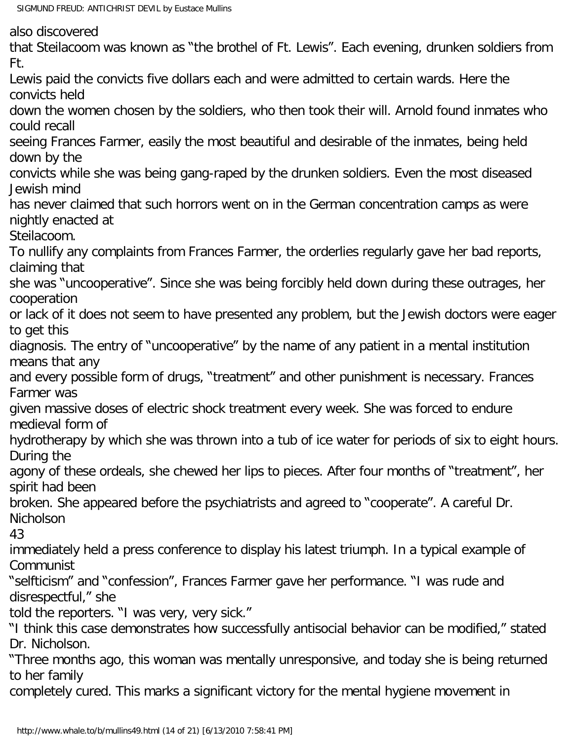also discovered

that Steilacoom was known as "the brothel of Ft. Lewis". Each evening, drunken soldiers from Ft. Lewis paid the convicts five dollars each and were admitted to certain wards. Here the convicts held down the women chosen by the soldiers, who then took their will. Arnold found inmates who could recall

seeing Frances Farmer, easily the most beautiful and desirable of the inmates, being held down by the

convicts while she was being gang-raped by the drunken soldiers. Even the most diseased Jewish mind

has never claimed that such horrors went on in the German concentration camps as were nightly enacted at

Steilacoom.

To nullify any complaints from Frances Farmer, the orderlies regularly gave her bad reports, claiming that

she was "uncooperative". Since she was being forcibly held down during these outrages, her cooperation

or lack of it does not seem to have presented any problem, but the Jewish doctors were eager to get this

diagnosis. The entry of "uncooperative" by the name of any patient in a mental institution means that any

and every possible form of drugs, "treatment" and other punishment is necessary. Frances Farmer was

given massive doses of electric shock treatment every week. She was forced to endure medieval form of

hydrotherapy by which she was thrown into a tub of ice water for periods of six to eight hours. During the

agony of these ordeals, she chewed her lips to pieces. After four months of "treatment", her spirit had been

broken. She appeared before the psychiatrists and agreed to "cooperate". A careful Dr. Nicholson

43

immediately held a press conference to display his latest triumph. In a typical example of Communist

"selfticism" and "confession", Frances Farmer gave her performance. "I was rude and disrespectful," she

told the reporters. "I was very, very sick."

"I think this case demonstrates how successfully antisocial behavior can be modified," stated Dr. Nicholson.

"Three months ago, this woman was mentally unresponsive, and today she is being returned to her family

completely cured. This marks a significant victory for the mental hygiene movement in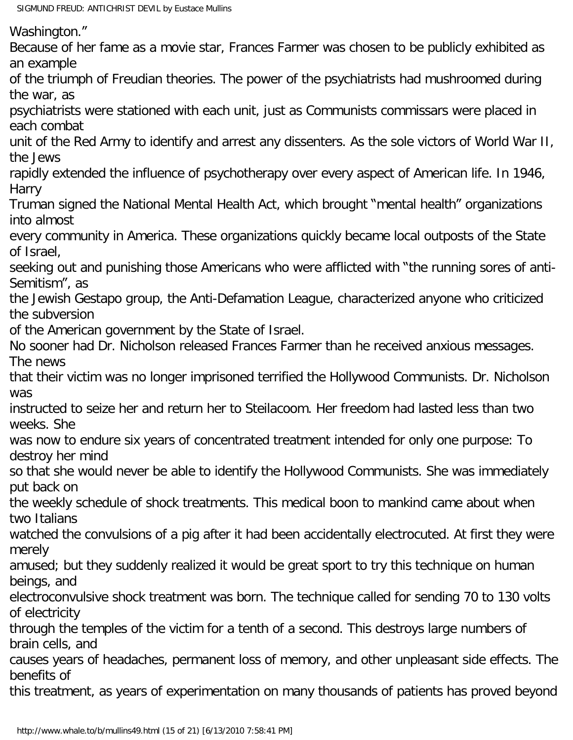Washington."

Because of her fame as a movie star, Frances Farmer was chosen to be publicly exhibited as an example

of the triumph of Freudian theories. The power of the psychiatrists had mushroomed during the war, as

psychiatrists were stationed with each unit, just as Communists commissars were placed in each combat

unit of the Red Army to identify and arrest any dissenters. As the sole victors of World War II, the Jews

rapidly extended the influence of psychotherapy over every aspect of American life. In 1946, **Harry** 

Truman signed the National Mental Health Act, which brought "mental health" organizations into almost

every community in America. These organizations quickly became local outposts of the State of Israel,

seeking out and punishing those Americans who were afflicted with "the running sores of anti-Semitism", as

the Jewish Gestapo group, the Anti-Defamation League, characterized anyone who criticized the subversion

of the American government by the State of Israel.

No sooner had Dr. Nicholson released Frances Farmer than he received anxious messages. The news

that their victim was no longer imprisoned terrified the Hollywood Communists. Dr. Nicholson was

instructed to seize her and return her to Steilacoom. Her freedom had lasted less than two weeks. She

was now to endure six years of concentrated treatment intended for only one purpose: To destroy her mind

so that she would never be able to identify the Hollywood Communists. She was immediately put back on

the weekly schedule of shock treatments. This medical boon to mankind came about when two Italians

watched the convulsions of a pig after it had been accidentally electrocuted. At first they were merely

amused; but they suddenly realized it would be great sport to try this technique on human beings, and

electroconvulsive shock treatment was born. The technique called for sending 70 to 130 volts of electricity

through the temples of the victim for a tenth of a second. This destroys large numbers of brain cells, and

causes years of headaches, permanent loss of memory, and other unpleasant side effects. The benefits of

this treatment, as years of experimentation on many thousands of patients has proved beyond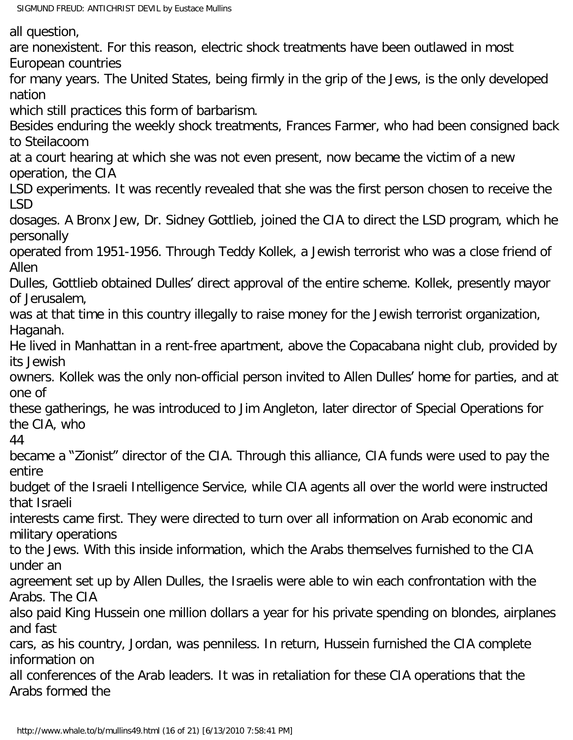all question,

are nonexistent. For this reason, electric shock treatments have been outlawed in most European countries

for many years. The United States, being firmly in the grip of the Jews, is the only developed nation

which still practices this form of barbarism.

Besides enduring the weekly shock treatments, Frances Farmer, who had been consigned back to Steilacoom

at a court hearing at which she was not even present, now became the victim of a new operation, the CIA

LSD experiments. It was recently revealed that she was the first person chosen to receive the LSD

dosages. A Bronx Jew, Dr. Sidney Gottlieb, joined the CIA to direct the LSD program, which he personally

operated from 1951-1956. Through Teddy Kollek, a Jewish terrorist who was a close friend of Allen

Dulles, Gottlieb obtained Dulles' direct approval of the entire scheme. Kollek, presently mayor of Jerusalem,

was at that time in this country illegally to raise money for the Jewish terrorist organization, Haganah.

He lived in Manhattan in a rent-free apartment, above the Copacabana night club, provided by its Jewish

owners. Kollek was the only non-official person invited to Allen Dulles' home for parties, and at one of

these gatherings, he was introduced to Jim Angleton, later director of Special Operations for the CIA, who

44

became a "Zionist" director of the CIA. Through this alliance, CIA funds were used to pay the entire

budget of the Israeli Intelligence Service, while CIA agents all over the world were instructed that Israeli

interests came first. They were directed to turn over all information on Arab economic and military operations

to the Jews. With this inside information, which the Arabs themselves furnished to the CIA under an

agreement set up by Allen Dulles, the Israelis were able to win each confrontation with the Arabs. The CIA

also paid King Hussein one million dollars a year for his private spending on blondes, airplanes and fast

cars, as his country, Jordan, was penniless. In return, Hussein furnished the CIA complete information on

all conferences of the Arab leaders. It was in retaliation for these CIA operations that the Arabs formed the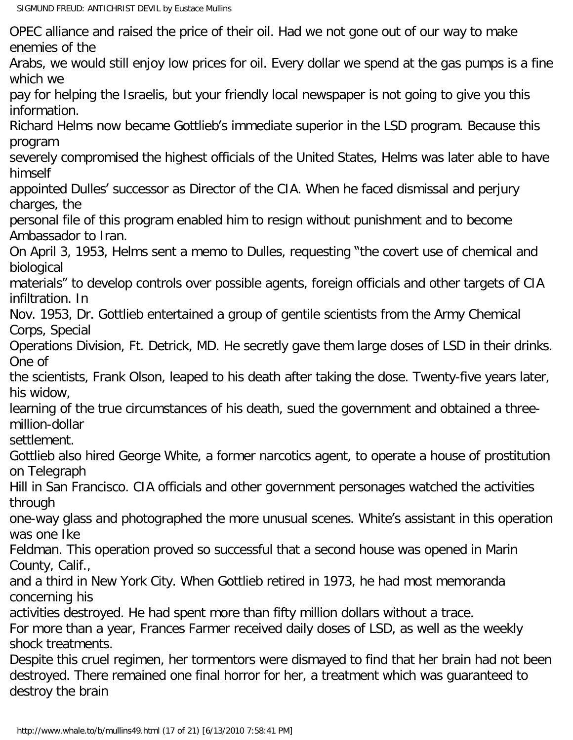OPEC alliance and raised the price of their oil. Had we not gone out of our way to make enemies of the

Arabs, we would still enjoy low prices for oil. Every dollar we spend at the gas pumps is a fine which we

pay for helping the Israelis, but your friendly local newspaper is not going to give you this information.

Richard Helms now became Gottlieb's immediate superior in the LSD program. Because this program

severely compromised the highest officials of the United States, Helms was later able to have himself

appointed Dulles' successor as Director of the CIA. When he faced dismissal and perjury charges, the

personal file of this program enabled him to resign without punishment and to become Ambassador to Iran.

On April 3, 1953, Helms sent a memo to Dulles, requesting "the covert use of chemical and biological

materials" to develop controls over possible agents, foreign officials and other targets of CIA infiltration. In

Nov. 1953, Dr. Gottlieb entertained a group of gentile scientists from the Army Chemical Corps, Special

Operations Division, Ft. Detrick, MD. He secretly gave them large doses of LSD in their drinks. One of

the scientists, Frank Olson, leaped to his death after taking the dose. Twenty-five years later, his widow,

learning of the true circumstances of his death, sued the government and obtained a threemillion-dollar

settlement.

Gottlieb also hired George White, a former narcotics agent, to operate a house of prostitution on Telegraph

Hill in San Francisco. CIA officials and other government personages watched the activities through

one-way glass and photographed the more unusual scenes. White's assistant in this operation was one Ike

Feldman. This operation proved so successful that a second house was opened in Marin County, Calif.,

and a third in New York City. When Gottlieb retired in 1973, he had most memoranda concerning his

activities destroyed. He had spent more than fifty million dollars without a trace.

For more than a year, Frances Farmer received daily doses of LSD, as well as the weekly shock treatments.

Despite this cruel regimen, her tormentors were dismayed to find that her brain had not been destroyed. There remained one final horror for her, a treatment which was guaranteed to destroy the brain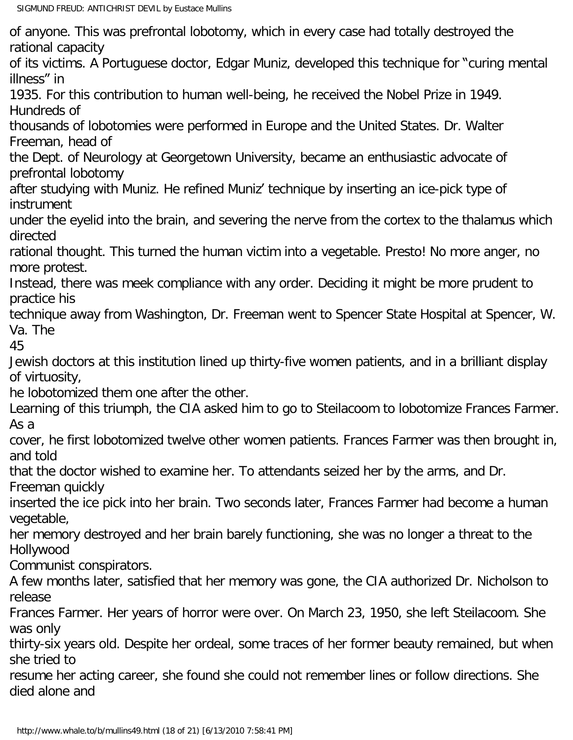of anyone. This was prefrontal lobotomy, which in every case had totally destroyed the rational capacity

of its victims. A Portuguese doctor, Edgar Muniz, developed this technique for "curing mental illness" in

1935. For this contribution to human well-being, he received the Nobel Prize in 1949. Hundreds of

thousands of lobotomies were performed in Europe and the United States. Dr. Walter Freeman, head of

the Dept. of Neurology at Georgetown University, became an enthusiastic advocate of prefrontal lobotomy

after studying with Muniz. He refined Muniz' technique by inserting an ice-pick type of instrument

under the eyelid into the brain, and severing the nerve from the cortex to the thalamus which directed

rational thought. This turned the human victim into a vegetable. Presto! No more anger, no more protest.

Instead, there was meek compliance with any order. Deciding it might be more prudent to practice his

technique away from Washington, Dr. Freeman went to Spencer State Hospital at Spencer, W. Va. The

45

Jewish doctors at this institution lined up thirty-five women patients, and in a brilliant display of virtuosity,

he lobotomized them one after the other.

Learning of this triumph, the CIA asked him to go to Steilacoom to lobotomize Frances Farmer. As a

cover, he first lobotomized twelve other women patients. Frances Farmer was then brought in, and told

that the doctor wished to examine her. To attendants seized her by the arms, and Dr. Freeman quickly

inserted the ice pick into her brain. Two seconds later, Frances Farmer had become a human vegetable,

her memory destroyed and her brain barely functioning, she was no longer a threat to the Hollywood

Communist conspirators.

A few months later, satisfied that her memory was gone, the CIA authorized Dr. Nicholson to release

Frances Farmer. Her years of horror were over. On March 23, 1950, she left Steilacoom. She was only

thirty-six years old. Despite her ordeal, some traces of her former beauty remained, but when she tried to

resume her acting career, she found she could not remember lines or follow directions. She died alone and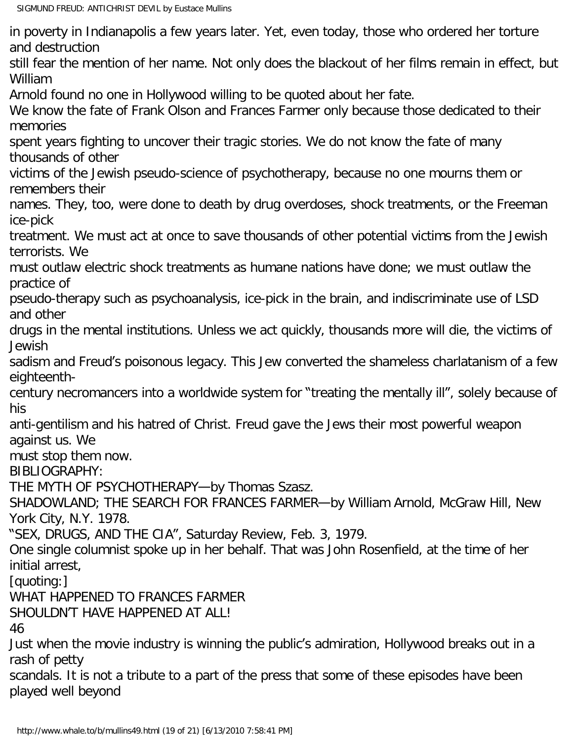in poverty in Indianapolis a few years later. Yet, even today, those who ordered her torture and destruction

still fear the mention of her name. Not only does the blackout of her films remain in effect, but William

Arnold found no one in Hollywood willing to be quoted about her fate.

We know the fate of Frank Olson and Frances Farmer only because those dedicated to their memories

spent years fighting to uncover their tragic stories. We do not know the fate of many thousands of other

victims of the Jewish pseudo-science of psychotherapy, because no one mourns them or remembers their

names. They, too, were done to death by drug overdoses, shock treatments, or the Freeman ice-pick

treatment. We must act at once to save thousands of other potential victims from the Jewish terrorists. We

must outlaw electric shock treatments as humane nations have done; we must outlaw the practice of

pseudo-therapy such as psychoanalysis, ice-pick in the brain, and indiscriminate use of LSD and other

drugs in the mental institutions. Unless we act quickly, thousands more will die, the victims of Jewish

sadism and Freud's poisonous legacy. This Jew converted the shameless charlatanism of a few eighteenth-

century necromancers into a worldwide system for "treating the mentally ill", solely because of his

anti-gentilism and his hatred of Christ. Freud gave the Jews their most powerful weapon against us. We

must stop them now.

BIBLIOGRAPHY:

THE MYTH OF PSYCHOTHERAPY—by Thomas Szasz.

SHADOWLAND; THE SEARCH FOR FRANCES FARMER—by William Arnold, McGraw Hill, New York City, N.Y. 1978.

"SEX, DRUGS, AND THE CIA", Saturday Review, Feb. 3, 1979.

One single columnist spoke up in her behalf. That was John Rosenfield, at the time of her initial arrest,

[quoting:]

WHAT HAPPENED TO FRANCES FARMER

SHOULDN'T HAVE HAPPENED AT ALL!

46

Just when the movie industry is winning the public's admiration, Hollywood breaks out in a rash of petty

scandals. It is not a tribute to a part of the press that some of these episodes have been played well beyond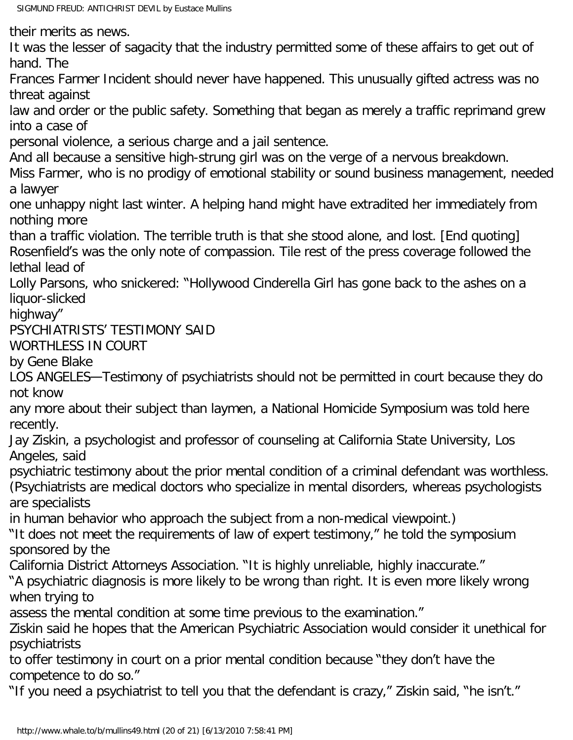their merits as news.

It was the lesser of sagacity that the industry permitted some of these affairs to get out of hand. The

Frances Farmer Incident should never have happened. This unusually gifted actress was no threat against

law and order or the public safety. Something that began as merely a traffic reprimand grew into a case of

personal violence, a serious charge and a jail sentence.

And all because a sensitive high-strung girl was on the verge of a nervous breakdown.

Miss Farmer, who is no prodigy of emotional stability or sound business management, needed a lawyer

one unhappy night last winter. A helping hand might have extradited her immediately from nothing more

than a traffic violation. The terrible truth is that she stood alone, and lost. [End quoting] Rosenfield's was the only note of compassion. Tile rest of the press coverage followed the lethal lead of

Lolly Parsons, who snickered: "Hollywood Cinderella Girl has gone back to the ashes on a liquor-slicked

highway"

PSYCHIATRISTS' TESTIMONY SAID

WORTHLESS IN COURT

by Gene Blake

LOS ANGELES—Testimony of psychiatrists should not be permitted in court because they do not know

any more about their subject than laymen, a National Homicide Symposium was told here recently.

Jay Ziskin, a psychologist and professor of counseling at California State University, Los Angeles, said

psychiatric testimony about the prior mental condition of a criminal defendant was worthless. (Psychiatrists are medical doctors who specialize in mental disorders, whereas psychologists are specialists

in human behavior who approach the subject from a non-medical viewpoint.)

"It does not meet the requirements of law of expert testimony," he told the symposium sponsored by the

California District Attorneys Association. "It is highly unreliable, highly inaccurate."

"A psychiatric diagnosis is more likely to be wrong than right. It is even more likely wrong when trying to

assess the mental condition at some time previous to the examination."

Ziskin said he hopes that the American Psychiatric Association would consider it unethical for psychiatrists

to offer testimony in court on a prior mental condition because "they don't have the competence to do so."

"If you need a psychiatrist to tell you that the defendant is crazy," Ziskin said, "he isn't."